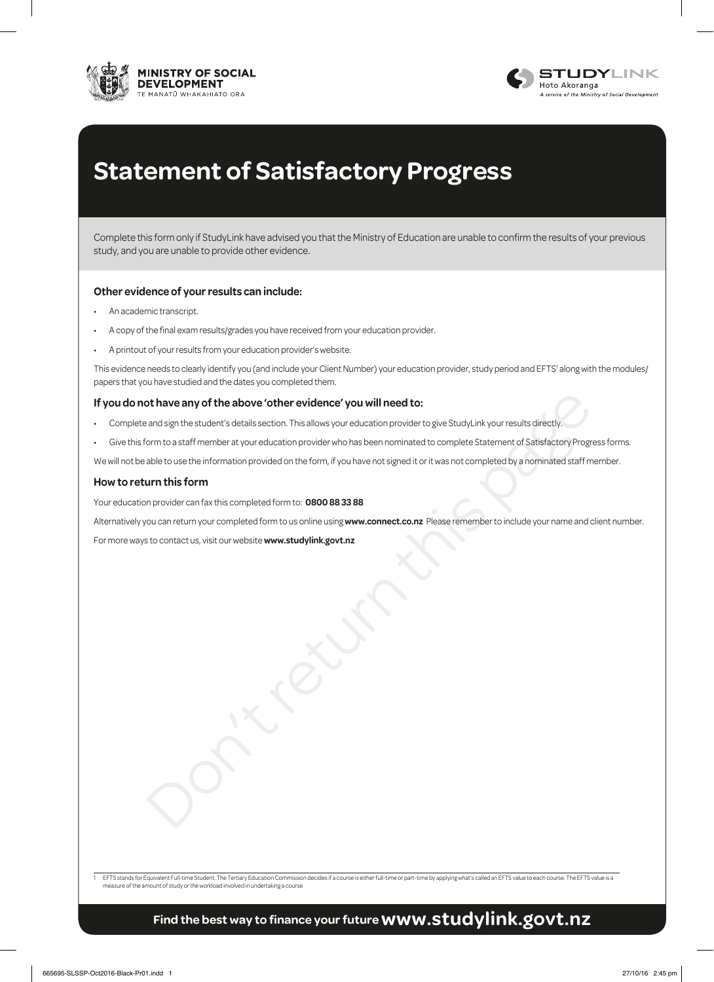



# **Statement of Satisfactory Progress**

Complete this form only if StudyLink have advised you that the Ministry of Education are unable to confirm the results of your previous study, and you are unable to provide other evidence.

#### **Other evidence of your results can include:**

- An academic transcript.
- A copy of the final exam results/grades you have received from your education provider.
- A printout of your results from your education provider's website.

This evidence needs to clearly identify you (and include your Client Number) your education provider, study period and EFTS' along with the modules/ papers that you have studied and the dates you completed them.

#### **If you do not have any of the above 'other evidence' you will need to:**

- Complete and sign the student's details section. This allows your education provider to give StudyLink your results directly.
- of the above "other evidence" you will need to:<br>and sign the student's details section. This allows your education provident to give StudyLink your results directly.<br>com to a staff member at your education provider who has • Give this form to a staff member at your education provider who has been nominated to complete Statement of Satisfactory Progress forms.

We will not be able to use the information provided on the form, if you have not signed it or it was not completed by a nominated staff member.

#### **How to return this form**

Your education provider can fax this completed form to: **0800 88 33 88**

Alternatively you can return your completed form to us online using **www.connect.co.nz** Please remember to include your name and client number.

For more ways to contact us, visit our website **www.studylink.govt.nz**

EFTS stands for Equivalent Full-time Student. The Tertiary Education Commission decides if a course is either full-time or part-time by applying what's called an EFTS value to each course. The EFTS value is a measure of the amount of study or the workload involved in undertaking a course

## **Find the best way to finance your future www.studylink.govt.nz**